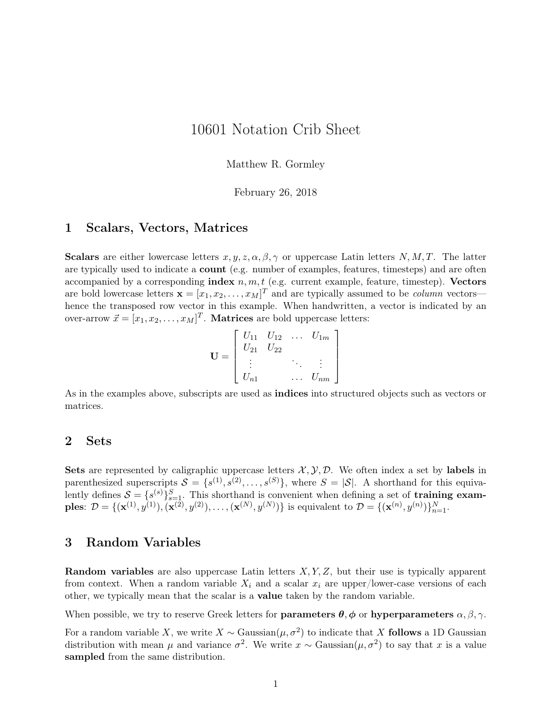# 10601 Notation Crib Sheet

Matthew R. Gormley

February 26, 2018

#### 1 Scalars, Vectors, Matrices

Scalars are either lowercase letters  $x, y, z, \alpha, \beta, \gamma$  or uppercase Latin letters *N, M, T*. The latter are typically used to indicate a count (e.g. number of examples, features, timesteps) and are often accompanied by a corresponding index  $n, m, t$  (e.g. current example, feature, timestep). Vectors are bold lowercase letters  $\mathbf{x} = [x_1, x_2, \dots, x_M]^T$  and are typically assumed to be *column* vectors hence the transposed row vector in this example. When handwritten, a vector is indicated by an over-arrow  $\vec{x} = [x_1, x_2, \dots, x_M]^T$ . **Matrices** are bold uppercase letters:

$$
\mathbf{U} = \left[ \begin{array}{cccc} U_{11} & U_{12} & \dots & U_{1m} \\ U_{21} & U_{22} & & \\ \vdots & & \ddots & \vdots \\ U_{n1} & & \dots & U_{nm} \end{array} \right]
$$

As in the examples above, subscripts are used as indices into structured objects such as vectors or matrices.

#### 2 Sets

**Sets** are represented by caligraphic uppercase letters  $\mathcal{X}, \mathcal{Y}, \mathcal{D}$ . We often index a set by labels in parenthesized superscripts  $S = \{s^{(1)}, s^{(2)}, \ldots, s^{(S)}\}$ , where  $S = |\mathcal{S}|$ . A shorthand for this equivalently defines  $S = \{s^{(s)}\}_{s=1}^S$ . This shorthand is convenient when defining a set of **training exam**ples:  $\mathcal{D} = \{(\mathbf{x}^{(1)}, y^{(1)}), (\mathbf{x}^{(2)}, y^{(2)}), \dots, (\mathbf{x}^{(N)}, y^{(N)})\}$  is equivalent to  $\mathcal{D} = \{(\mathbf{x}^{(n)}, y^{(n)})\}_{n=1}^N$ .

### 3 Random Variables

Random variables are also uppercase Latin letters *X, Y, Z*, but their use is typically apparent from context. When a random variable  $X_i$  and a scalar  $x_i$  are upper/lower-case versions of each other, we typically mean that the scalar is a value taken by the random variable.

When possible, we try to reserve Greek letters for **parameters**  $\theta$ ,  $\phi$  or **hyperparameters**  $\alpha$ ,  $\beta$ ,  $\gamma$ .

For a random variable *X*, we write *X* ~ Gaussian( $\mu$ ,  $\sigma^2$ ) to indicate that *X* follows a 1D Gaussian distribution with mean  $\mu$  and variance  $\sigma^2$ . We write  $x \sim$  Gaussian( $\mu, \sigma^2$ ) to say that  $x$  is a value sampled from the same distribution.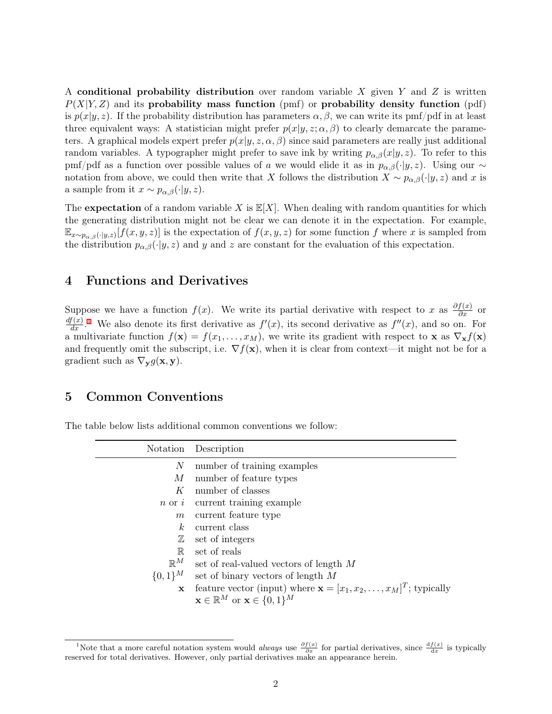A conditional probability distribution over random variable *X* given *Y* and *Z* is written *P*(*X|Y, Z*) and its probability mass function (pmf) or probability density function (pdf) is  $p(x|y, z)$ . If the probability distribution has parameters  $\alpha, \beta$ , we can write its pmf/pdf in at least three equivalent ways: A statistician might prefer  $p(x|y, z; \alpha, \beta)$  to clearly demarcate the parameters. A graphical models expert prefer  $p(x|y, z, \alpha, \beta)$  since said parameters are really just additional random variables. A typographer might prefer to save ink by writing  $p_{\alpha,\beta}(x|y,z)$ . To refer to this pmf/pdf as a function over possible values of *a* we would elide it as in  $p_{\alpha,\beta}(\cdot|y,z)$ . Using our  $\sim$ notation from above, we could then write that *X* follows the distribution  $X \sim p_{\alpha,\beta}(\cdot | y, z)$  and *x* is a sample from it  $x \sim p_{\alpha,\beta}(\cdot|y,z)$ .

The expectation of a random variable *X* is  $\mathbb{E}[X]$ . When dealing with random quantities for which the generating distribution might not be clear we can denote it in the expectation. For example,  $\mathbb{E}_{x \sim p_{\alpha,\beta}(\cdot |y,z)}[f(x, y, z)]$  is the expectation of  $f(x, y, z)$  for some function *f* where *x* is sampled from the distribution  $p_{\alpha,\beta}(\cdot|y,z)$  and *y* and *z* are constant for the evaluation of this expectation.

## 4 Functions and Derivatives

Suppose we have a function  $f(x)$ . We write its partial derivative with respect to *x* as  $\frac{\partial f(x)}{\partial x}$  or  $\frac{df(x)}{dx}$ <sup>[1](#page-1-0)</sup>. We also denote its first derivative as  $f'(x)$ , its second derivative as  $f''(x)$ , and so on. For a multivariate function  $f(\mathbf{x}) = f(x_1, \ldots, x_M)$ , we write its gradient with respect to **x** as  $\nabla_{\mathbf{x}} f(\mathbf{x})$ and frequently omit the subscript, i.e.  $\nabla f(\mathbf{x})$ , when it is clear from context—it might not be for a gradient such as  $\nabla_{\mathbf{y}} g(\mathbf{x}, \mathbf{y})$ .

#### 5 Common Conventions

The table below lists additional common conventions we follow:

|                | Notation Description                                                             |
|----------------|----------------------------------------------------------------------------------|
| N              | number of training examples                                                      |
| М              | number of feature types                                                          |
| K              | number of classes                                                                |
|                | $n \text{ or } i$ current training example                                       |
| m              | current feature type                                                             |
| k <sub>i</sub> | current class                                                                    |
| $\mathbb Z$    | set of integers                                                                  |
| $\mathbb{R}$   | set of reals                                                                     |
| $\mathbb{R}^M$ | set of real-valued vectors of length M                                           |
| $\{0,1\}^M$    | set of binary vectors of length $M$                                              |
| x              | feature vector (input) where $\mathbf{x} = [x_1, x_2, \dots, x_M]^T$ ; typically |
|                | $\mathbf{x} \in \mathbb{R}^M$ or $\mathbf{x} \in \{0,1\}^M$                      |

<span id="page-1-0"></span><sup>&</sup>lt;sup>1</sup>Note that a more careful notation system would *always* use  $\frac{\partial f(x)}{\partial x}$  for partial derivatives, since  $\frac{df(x)}{dx}$  is typically reserved for total derivatives. However, only partial derivatives make an appearance herein.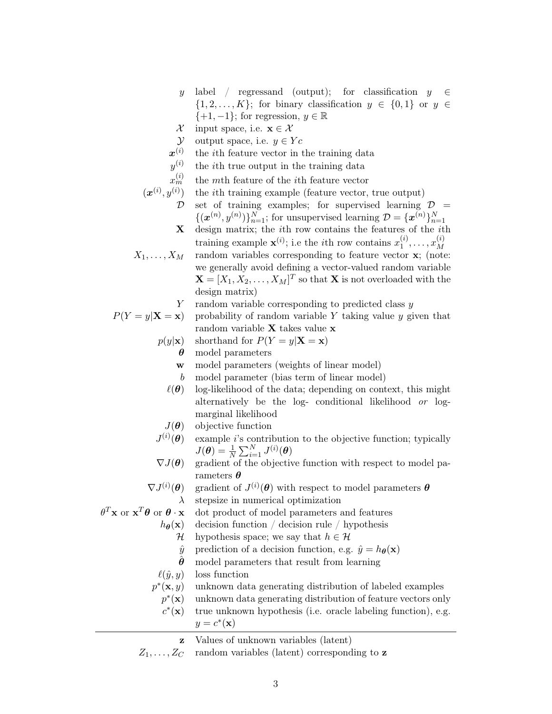- *y* label / regressand (output); for classification *y*  $\{1, 2, \ldots, K\}$ ; for binary classification  $y \in \{0, 1\}$  or  $y \in$ *{*+1*, −*1*}*; for regression, *y ∈* R
- *X* input space, i.e.  $\mathbf{x} \in \mathcal{X}$
- *Y* output space, i.e.  $y \in Yc$
- $\pmb{x}^{(i)}$ the *i*th feature vector in the training data
- *y* (*i*) the *i*th true output in the training data
- $x_m^{(i)}$ *<sup>m</sup>* the *m*th feature of the *i*th feature vector
- $(\boldsymbol{x}^{(i)}, y^{(i)})$ ) the *i*th training example (feature vector, true output) *D* set of training examples; for supervised learning *D* =  $\{(\mathbf{x}^{(n)}, y^{(n)})\}_{n=1}^N$ ; for unsupervised learning  $\mathcal{D} = {\{\mathbf{x}^{(n)}\}}_{n=1}^N$ **X** design matrix; the *i*th row contains the features of the *i*th training example  $\mathbf{x}^{(i)}$ ; i.e the *i*th row contains  $x_1^{(i)}$  $x_1^{(i)}, \ldots, x_M^{(i)}$ *M*  $X_1, \ldots, X_M$  random variables corresponding to feature vector **x**; (note: we generally avoid defining a vector-valued random variable  $\mathbf{X} = [X_1, X_2, \dots, X_M]^T$  so that **X** is not overloaded with the design matrix)
	- *Y* random variable corresponding to predicted class *y*

$$
P(Y = y | \mathbf{X} = \mathbf{x})
$$
 probability of random variable Y taking value y given that random variable **X** takes value **x**

$$
p(y|\mathbf{x})
$$
 shorthand for  $P(Y = y|\mathbf{X} = \mathbf{x})$ 

- *θ* model parameters
	- **w** model parameters (weights of linear model)
	- *b* model parameter (bias term of linear model)
- $\ell(\theta)$  log-likelihood of the data; depending on context, this might alternatively be the log- conditional likelihood *or* logmarginal likelihood
- *J*(*θ*) objective function
- $J^{(i)}$ example *i*'s contribution to the objective function; typically  $J(\boldsymbol{\theta}) = \frac{1}{N} \sum_{i=1}^{N} J^{(i)}(\boldsymbol{\theta})$
- *∇J*(*θ*) gradient of the objective function with respect to model parameters *θ*
- $\nabla J^{(i)}$  $(\theta)$  gradient of  $J^{(i)}(\theta)$  with respect to model parameters  $\theta$ *λ* stepsize in numerical optimization
	- *dot* product of model parameters and features
	- $h_{\theta}(\mathbf{x})$  decision function / decision rule / hypothesis
		- *H* hypothesis space; we say that  $h \in \mathcal{H}$
		- $\hat{y}$  prediction of a decision function, e.g.  $\hat{y} = h_{\theta}(\mathbf{x})$
		- *θ*ˆ model parameters that result from learning
	- $\ell(\hat{y}, y)$  loss function

 $\theta^T$ **x** or **x** 

- *p ∗* unknown data generating distribution of labeled examples
	- *p ∗* unknown data generating distribution of feature vectors only *c ∗* true unknown hypothesis (i.e. oracle labeling function), e.g.
	- $y = c^*(\mathbf{x})$

**z** Values of unknown variables (latent)

 $Z_1, \ldots, Z_C$  random variables (latent) corresponding to **z**